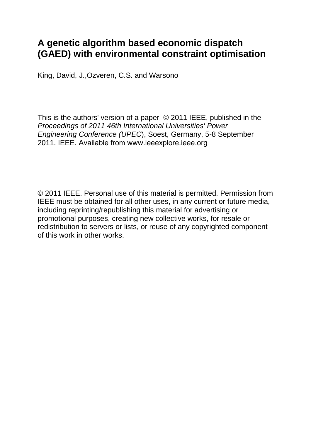# **A genetic algorithm based economic dispatch (GAED) with environmental constraint optimisation**

[King, David, J.,](https://repository.abertay.ac.uk/jspui/browse?type=author&value=King%2C+David%2C+J.)[Ozveren, C.S.](https://repository.abertay.ac.uk/jspui/browse?type=author&value=Ozveren%2C+C.S.) and [Warsono](https://repository.abertay.ac.uk/jspui/browse?type=author&value=Warsono)

This is the authors' version of a paper © 2011 IEEE, published in the *Proceedings of 2011 46th International Universities' Power Engineering Conference (UPEC*), Soest, Germany, 5-8 September 2011. IEEE. Available from www.ieeexplore.ieee.org

© 2011 IEEE. Personal use of this material is permitted. Permission from IEEE must be obtained for all other uses, in any current or future media, including reprinting/republishing this material for advertising or promotional purposes, creating new collective works, for resale or redistribution to servers or lists, or reuse of any copyrighted component of this work in other works.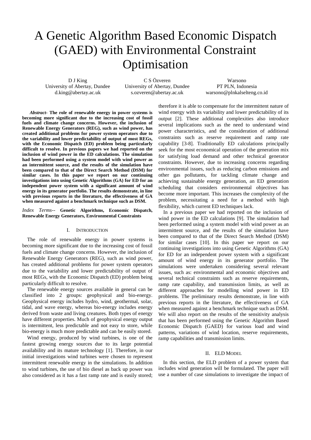# A Genetic Algorithm Based Economic Dispatch (GAED) with Environmental Constraint Optimisation

D J King University of Abertay, Dundee d.king@abertay.ac.uk

C S Özveren University of Abertay, Dundee s.ozveren@abertay.ac.uk

Warsono PT PLN, Indonesia warsono@plnkalselteng.co.id

*Abstract-* **The role of renewable energy in power systems is becoming more significant due to the increasing cost of fossil fuels and climate change concerns. However, the inclusion of Renewable Energy Generators (REG), such as wind power, has created additional problems for power system operators due to the variability and lower predictability of output of most REGs, with the Economic Dispatch (ED) problem being particularly difficult to resolve. In previous papers we had reported on the inclusion of wind power in the ED calculations. The simulation had been performed using a system model with wind power as an intermittent source, and the results of the simulation have been compared to that of the Direct Search Method (DSM) for similar cases. In this paper we report on our continuing investigations into using Genetic Algorithms (GA) for ED for an independent power system with a significant amount of wind energy in its generator portfolio. The results demonstrate, in line with previous reports in the literature, the effectiveness of GA when measured against a benchmark technique such as DSM.** 

*Index Terms*-- **Genetic Algorithms, Economic Dispatch, Renewable Energy Generators, Environmental Constraints** 

#### I. INTRODUCTION

The role of renewable energy in power systems is becoming more significant due to the increasing cost of fossil fuels and climate change concerns. However, the inclusion of Renewable Energy Generators (REG), such as wind power, has created additional problems for power system operators due to the variability and lower predictability of output of most REGs, with the Economic Dispatch (ED) problem being particularly difficult to resolve.

The renewable energy sources available in general can be classified into 2 groups: geophysical and bio-energy. Geophysical energy includes hydro, wind, geothermal, solar, tidal, and wave energy, whereas bio-energy includes energy derived from waste and living creatures. Both types of energy have different properties. Much of geophysical energy output is intermittent, less predictable and not easy to store, while bio-energy is much more predictable and can be easily stored.

Wind energy, produced by wind turbines, is one of the fastest growing energy sources due to its large potential availability and its mature technology [1]. Therefore, in our initial investigations wind turbines were chosen to represent intermittent renewable energy in the simulations. In addition to wind turbines, the use of bio diesel as back up power was also considered as it has a fast ramp rate and is easily stored; therefore it is able to compensate for the intermittent nature of wind energy with its variability and lower predictability of its output [2]. These additional complexities also introduce several implications such as the need to understand wind power characteristics, and the consideration of additional constraints such as reserve requirement and ramp rate capability [3-8]. Traditionally ED calculations principally seek for the most economical operation of the generation mix for satisfying load demand and other technical generator constraints. However, due to increasing concerns regarding environmental issues, such as reducing carbon emissions and other gas pollutants, for tackling climate change and achieving sustainable energy generation, an ED generation scheduling that considers environmental objectives has become more important. This increases the complexity of the problem, necessitating a need for a method with high flexibility, which current ED techniques lack.

In a previous paper we had reported on the inclusion of wind power in the ED calculations [9]. The simulation had been performed using a system model with wind power as an intermittent source, and the results of the simulation have been compared to that of the Direct Search Method (DSM) for similar cases [10]. In this paper we report on our continuing investigations into using Genetic Algorithms (GA) for ED for an independent power system with a significant amount of wind energy in its generator portfolio. The simulations were undertaken considering several relevant issues, such as: environmental and economic objectives and several technical constraints such as reserve requirements, ramp rate capability, and transmission limits, as well as different approaches for modelling wind power in ED problems. The preliminary results demonstrate, in line with previous reports in the literature, the effectiveness of GA when measured against a benchmark technique such as DSM. We will also report on the results of the sensitivity analysis that has been performed using the Genetic Algorithm Based Economic Dispatch (GAED) for various load and wind patterns, variations of wind location, reserve requirements, ramp capabilities and transmission limits.

#### II. ELD MODEL

In this section, the ELD problem of a power system that includes wind generation will be formulated. The paper will use a number of case simulations to investigate the impact of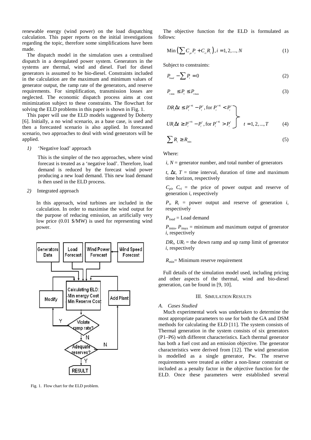renewable energy (wind power) on the load dispatching calculation. This paper reports on the initial investigations regarding the topic, therefore some simplifications have been made.

The dispatch model in the simulation uses a centralised dispatch in a deregulated power system. Generators in the systems are thermal, wind and diesel. Fuel for diesel generators is assumed to be bio-diesel. Constraints included in the calculation are the maximum and minimum values of generator output, the ramp rate of the generators, and reserve requirements. For simplification, transmission losses are neglected. The economic dispatch process aims at cost minimization subject to these constraints. The flowchart for solving the ELD problems in this paper is shown in Fig. 1.

This paper will use the ELD models suggested by Doherty [6]. Initially, a no wind scenario, as a base case, is used and then a forecasted scenario is also applied. In forecasted scenario, two approaches to deal with wind generators will be applied.

*1)* 'Negative load' approach

This is the simpler of the two approaches, where wind forecast is treated as a 'negative load'. Therefore, load demand is reduced by the forecast wind power producing a new load demand. This new load demand is then used in the ELD process.

*2)* Integrated approach

In this approach, wind turbines are included in the calculation. In order to maximise the wind output for the purpose of reducing emission, an artificially very low price (0.01 \$/MW) is used for representing wind power.



Fig. 1. Flow chart for the ELD problem.

The objective function for the ELD is formulated as follows:

Min 
$$
\left(\sum C_{pi}P_{i} + C_{n}R_{i}\right)
$$
,  $i = 1, 2, ..., N$  (1)

Subject to constraints:

$$
P_{\text{load}} - \sum P_i = 0 \tag{2}
$$

$$
P_{\min} \le P_1 \le P_{\max} \tag{3}
$$

$$
DR_{i}\Delta t \le P_{i}^{t+1} - P_{i}^{t}, \text{for } P_{i}^{t+1} < P_{i}^{t} \}
$$
\n
$$
UR_{i}\Delta t \ge P_{i}^{t+1} - P_{i}^{t}, \text{for } P_{i}^{t+1} > P_{i}^{t} \quad t = 1, 2, \dots, T \tag{4}
$$

$$
\sum R_i \ge R_{\min} \tag{5}
$$

Where:

 $i, N$  = generator number, and total number of generators

*t*,  $\Delta t$ , *T* = time interval, duration of time and maximum time horizon, respectively

 $C_{pi}$ ,  $C_{ri}$  = the price of power output and reserve of generation *i*, respectively

 $P_i$ ,  $R_i$  = power output and reserve of generation *i*, respectively

$$
P_{load} = \text{Load demand}
$$

 $P_{\text{imin}}$ ,  $P_{\text{imax}}$  = minimum and maximum output of generator *i*, respectively

 $DR_i$ ,  $UR_i$  = the down ramp and up ramp limit of generator *i*, respectively

 $R_{\text{min}}$ = Minimum reserve requirement

Full details of the simulation model used, including pricing and other aspects of the thermal, wind and bio-diesel generation, can be found in [9, 10].

# III. SIMULATION RESULTS

#### *A. Cases Studied*

Much experimental work was undertaken to determine the most appropriate parameters to use for both the GA and DSM methods for calculating the ELD [11]. The system consists of Thermal generation in the system consists of six generators (P1–P6) with different characteristics. Each thermal generator has both a fuel cost and an emission objective. The generator characteristics were derived from [12]. The wind generation is modelled as a single generator, Pw. The reserve requirements were treated as either a non-linear constraint or included as a penalty factor in the objective function for the ELD. Once these parameters were established several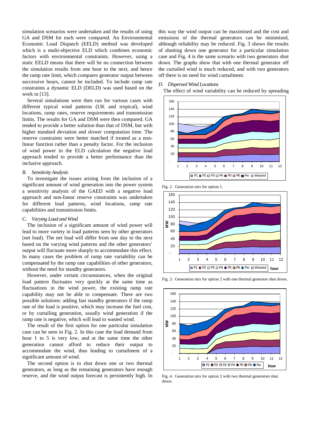simulation scenarios were undertaken and the results of using GA and DSM for each were compared. An Environmental Economic Load Dispatch (EELD) method was developed which is a multi-objective ELD which combines economic factors with environmental constraints. However, using a static EELD means that there will be no connection between the simulation results from one hour to the next, and hence the ramp rate limit, which compares generator output between successive hours, cannot be included. To include ramp rate constraints a dynamic ELD (DELD) was used based on the work in [13].

Several simulations were then run for various cases with different typical wind patterns (UK and tropical), wind locations, ramp rates, reserve requirements and transmission limits. The results for GA and DSM were then compared. GA tended to provide a better solution than that of DSM, but with higher standard deviation and slower computation time. The reserve constraints were better matched if treated as a nonlinear function rather than a penalty factor. For the inclusion of wind power in the ELD calculation the negative load approach tended to provide a better performance than the inclusive approach.

#### *B. Sensitivity Analysis*

To investigate the issues arising from the inclusion of a significant amount of wind generation into the power system a sensitivity analysis of the GAED with a negative load approach and non-linear reserve constraints was undertaken for different load patterns, wind locations, ramp rate capabilities and transmission limits.

#### *C. Varying Load and Wind*

The inclusion of a significant amount of wind power will lead to more variety in load patterns seen by other generators (net load). The net load will differ from one day to the next based on the varying wind patterns and the other generators' output will fluctuate more sharply to accommodate this effect. In many cases the problem of ramp rate variability can be compensated by the ramp rate capabilities of other generators, without the need for standby generators.

However, under certain circumstances, when the original load pattern fluctuates very quickly at the same time as fluctuations in the wind power, the existing ramp rate capability may not be able to compensate. There are two possible solutions: adding fast standby generators if the ramp rate of the load is positive, which may increase the fuel cost, or by curtailing generation, usually wind generation if the ramp rate is negative, which will lead to wasted wind.

The result of the first option for one particular simulation case can be seen in Fig. 2. In this case the load demand from hour 1 to 5 is very low, and at the same time the other generation cannot afford to reduce their output to accommodate the wind, thus leading to curtailment of a significant amount of wind.

The second option is to shut down one or two thermal generators, as long as the remaining generators have enough reserve, and the wind output forecast is persistently high. In this way the wind output can be maximised and the cost and emissions of the thermal generators can be minimised, although reliability may be reduced. Fig. 3 shows the results of shutting down one generator for a particular simulation case and Fig. 4 is the same scenario with two generators shut down. The graphs show that with one thermal generator off the curtailed wind is much reduced, and with two generators off there is no need for wind curtailment.

# *D. Dispersed Wind Locations*

The effect of wind variability can be reduced by spreading



Fig. 2. Generation mix for option 1.



Fig. 3. Generation mix for option 2 with one thermal generator shut down.



Fig. 4. Generation mix for option 2 with two thermal generators shut down.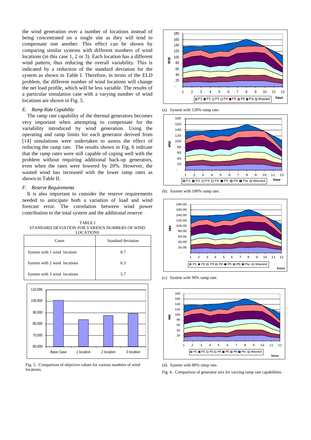the wind generation over a number of locations instead of being concentrated on a single site as they will tend to compensate one another. This effect can be shown by comparing similar systems with different numbers of wind locations (in this case 1, 2 or 3). Each location has a different wind pattern, thus reducing the overall variability. This is indicated by a reduction of the standard deviation for the system as shown in Table I. Therefore, in terms of the ELD problem, the different number of wind locations will change the net load profile, which will be less variable. The results of a particular simulation case with a varying number of wind locations are shown in Fig. 5.

# *E. Ramp Rate Capability*

The ramp rate capability of the thermal generators becomes very important when attempting to compensate for the variability introduced by wind generation. Using the operating and ramp limits for each generator derived from [14] simulations were undertaken to assess the effect of reducing the ramp rate. The results shown in Fig. 6 indicate that the ramp rates were still capable of coping well with the problem without requiring additional back-up generators, even when the rates were lowered by 20%. However, the wasted wind has increased with the lower ramp rates as shown in Table II.

# *F. Reserve Requirements*

It is also important to consider the reserve requirements needed to anticipate both a variation of load and wind forecast error. The correlation between wind power contribution to the total system and the additional reserve

TABLE I STANDARD DEVIATION FOR VARIOUS NUMBERS OF WIND LOCATIONS

| ----------                   |                    |  |
|------------------------------|--------------------|--|
| Cases                        | Standard deviation |  |
| System with 1 wind location  | 8.7                |  |
| System with 2 wind locations | 6.3                |  |
| System with 3 wind locations | 5.7                |  |



Fig. 5. Comparison of objective values for various numbers of wind locations.



(a). System with 120% ramp rate.



(b). System with 100% ramp rate.



(c). System with 90% ramp rate.



(d). System with 80% ramp rate.

Fig. 6. Comparison of generator mix for varying ramp rate capabilities.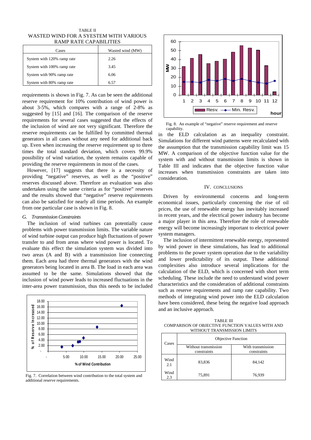TABLE II WASTED WIND FOR A SYESTEM WITH VARIOUS RAMP RATE CAPABILITIES

| Cases                      | Wasted wind (MW) |
|----------------------------|------------------|
| System with 120% ramp rate | 2.26             |
| System with 100% ramp rate | 3.45             |
| System with 90% ramp rate  | 6.06             |
| System with 80% ramp rate  | 6.57             |

requirements is shown in Fig. 7. As can be seen the additional reserve requirement for 10% contribution of wind power is about 3-5%, which compares with a range of 2-8% as suggested by [15] and [16]. The comparison of the reserve requirements for several cases suggested that the effects of the inclusion of wind are not very significant. Therefore the reserve requirements can be fulfilled by committed thermal generators in all cases without any need for additional back up. Even when increasing the reserve requirement up to three times the total standard deviation, which covers 99.9% possibility of wind variation, the system remains capable of providing the reserve requirements in most of the cases.

However, [17] suggests that there is a necessity of providing "negative" reserves, as well as the "positive" reserves discussed above. Therefore an evaluation was also undertaken using the same criteria as for "positive" reserves and the results showed that "negative" reserve requirements can also be satisfied for nearly all time periods. An example from one particular case is shown in Fig. 8.

# *G. Transmission Constraints*

The inclusion of wind turbines can potentially cause problems with power transmission limits. The variable nature of wind turbine output can produce high fluctuations of power transfer to and from areas where wind power is located. To evaluate this effect the simulation system was divided into two areas (A and B) with a transmission line connecting them. Each area had three thermal generators with the wind generators being located in area B. The load in each area was assumed to be the same. Simulations showed that the inclusion of wind power leads to increased fluctuations in the inter-area power transmission, thus this needs to be included



Fig. 7. Correlation between wind contribution to the total system and additional reserve requirements.



Fig. 8. An example of "negative" reserve requirement and reserve capability.

in the ELD calculation as an inequality constraint. Simulations for different wind patterns were recalculated with the assumption that the transmission capability limit was 15 MW. A comparison of the objective function value for the system with and without transmission limits is shown in Table III and indicates that the objective function value increases when transmission constraints are taken into consideration.

# IV. CONCLUSIONS

Driven by environmental concerns and long-term economical issues, particularly concerning the rise of oil prices, the use of renewable energy has inevitably increased in recent years, and the electrical power industry has become a major player in this area. Therefore the role of renewable energy will become increasingly important to electrical power system managers.

The inclusion of intermittent renewable energy, represented by wind power in these simulations, has lead to additional problems to the power system operation due to the variability and lower predictability of its output. These additional complexities also introduce several implications for the calculation of the ELD, which is concerned with short term scheduling. These include the need to understand wind power characteristics and the consideration of additional constraints such as reserve requirements and ramp rate capability. Two methods of integrating wind power into the ELD calculation have been considered, these being the negative load approach and an inclusive approach.

TABLE III COMPARISON OF OBJECTIVE FUNCTION VALUES WITH AND WITHOUT TRANSMISSION LIMITS

| Cases       | <b>Objective Function</b>           |                                  |
|-------------|-------------------------------------|----------------------------------|
|             | Without transmission<br>constraints | With transmission<br>constraints |
| Wind<br>2.1 | 83,836                              | 84.142                           |
| Wind<br>2.3 | 75,891                              | 76,939                           |